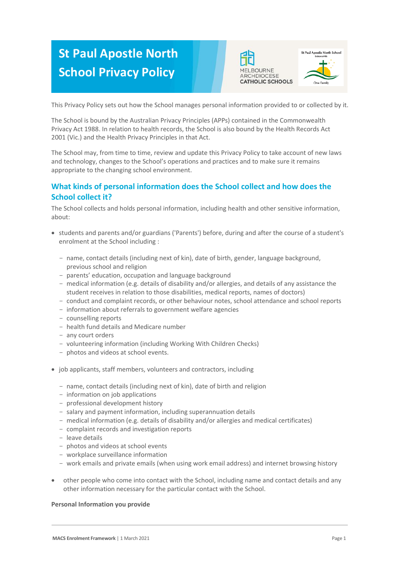# **St Paul Apostle North School Privacy Policy**





This Privacy Policy sets out how the School manages personal information provided to or collected by it.

The School is bound by the Australian Privacy Principles (APPs) contained in the Commonwealth Privacy Act 1988. In relation to health records, the School is also bound by the Health Records Act 2001 (Vic.) and the Health Privacy Principles in that Act.

The School may, from time to time, review and update this Privacy Policy to take account of new laws and technology, changes to the School's operations and practices and to make sure it remains appropriate to the changing school environment.

# **What kinds of personal information does the School collect and how does the School collect it?**

The School collects and holds personal information, including health and other sensitive information, about:

- students and parents and/or guardians ('Parents') before, during and after the course of a student's enrolment at the School including :
	- name, contact details (including next of kin), date of birth, gender, language background, previous school and religion
	- parents' education, occupation and language background
	- medical information (e.g. details of disability and/or allergies, and details of any assistance the student receives in relation to those disabilities, medical reports, names of doctors)
	- conduct and complaint records, or other behaviour notes, school attendance and school reports
	- information about referrals to government welfare agencies
	- counselling reports
	- health fund details and Medicare number
	- any court orders
	- volunteering information (including Working With Children Checks)
	- photos and videos at school events.
- job applicants, staff members, volunteers and contractors, including
	- name, contact details (including next of kin), date of birth and religion
	- information on job applications
	- professional development history
	- salary and payment information, including superannuation details
	- medical information (e.g. details of disability and/or allergies and medical certificates)
	- complaint records and investigation reports
	- leave details
	- photos and videos at school events
	- workplace surveillance information
	- work emails and private emails (when using work email address) and internet browsing history
- other people who come into contact with the School, including name and contact details and any other information necessary for the particular contact with the School.

# **Personal Information you provide**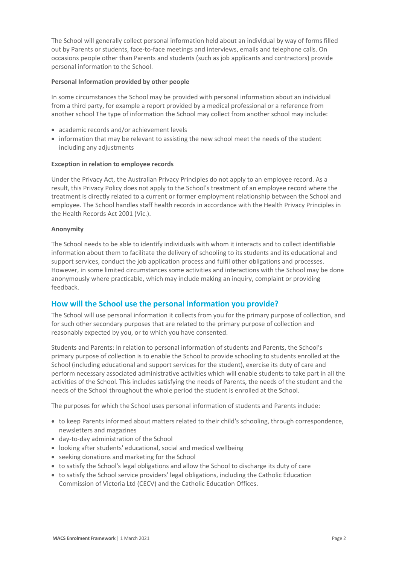The School will generally collect personal information held about an individual by way of forms filled out by Parents or students, face-to-face meetings and interviews, emails and telephone calls. On occasions people other than Parents and students (such as job applicants and contractors) provide personal information to the School.

#### **Personal Information provided by other people**

In some circumstances the School may be provided with personal information about an individual from a third party, for example a report provided by a medical professional or a reference from another school The type of information the School may collect from another school may include:

- academic records and/or achievement levels
- information that may be relevant to assisting the new school meet the needs of the student including any adjustments

#### **Exception in relation to employee records**

Under the Privacy Act, the Australian Privacy Principles do not apply to an employee record. As a result, this Privacy Policy does not apply to the School's treatment of an employee record where the treatment is directly related to a current or former employment relationship between the School and employee. The School handles staff health records in accordance with the Health Privacy Principles in the Health Records Act 2001 (Vic.).

#### **Anonymity**

The School needs to be able to identify individuals with whom it interacts and to collect identifiable information about them to facilitate the delivery of schooling to its students and its educational and support services, conduct the job application process and fulfil other obligations and processes. However, in some limited circumstances some activities and interactions with the School may be done anonymously where practicable, which may include making an inquiry, complaint or providing feedback.

# **How will the School use the personal information you provide?**

The School will use personal information it collects from you for the primary purpose of collection, and for such other secondary purposes that are related to the primary purpose of collection and reasonably expected by you, or to which you have consented.

Students and Parents: In relation to personal information of students and Parents, the School's primary purpose of collection is to enable the School to provide schooling to students enrolled at the School (including educational and support services for the student), exercise its duty of care and perform necessary associated administrative activities which will enable students to take part in all the activities of the School. This includes satisfying the needs of Parents, the needs of the student and the needs of the School throughout the whole period the student is enrolled at the School.

The purposes for which the School uses personal information of students and Parents include:

- to keep Parents informed about matters related to their child's schooling, through correspondence, newsletters and magazines
- day-to-day administration of the School
- looking after students' educational, social and medical wellbeing
- seeking donations and marketing for the School
- to satisfy the School's legal obligations and allow the School to discharge its duty of care
- to satisfy the School service providers' legal obligations, including the Catholic Education Commission of Victoria Ltd (CECV) and the Catholic Education Offices.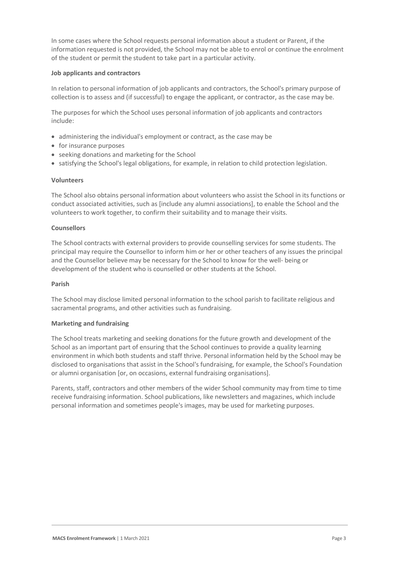In some cases where the School requests personal information about a student or Parent, if the information requested is not provided, the School may not be able to enrol or continue the enrolment of the student or permit the student to take part in a particular activity.

#### **Job applicants and contractors**

In relation to personal information of job applicants and contractors, the School's primary purpose of collection is to assess and (if successful) to engage the applicant, or contractor, as the case may be.

The purposes for which the School uses personal information of job applicants and contractors include:

- administering the individual's employment or contract, as the case may be
- for insurance purposes
- seeking donations and marketing for the School
- satisfying the School's legal obligations, for example, in relation to child protection legislation.

#### **Volunteers**

The School also obtains personal information about volunteers who assist the School in its functions or conduct associated activities, such as [include any alumni associations], to enable the School and the volunteers to work together, to confirm their suitability and to manage their visits.

#### **Counsellors**

The School contracts with external providers to provide counselling services for some students. The principal may require the Counsellor to inform him or her or other teachers of any issues the principal and the Counsellor believe may be necessary for the School to know for the well- being or development of the student who is counselled or other students at the School.

#### **Parish**

The School may disclose limited personal information to the school parish to facilitate religious and sacramental programs, and other activities such as fundraising.

#### **Marketing and fundraising**

The School treats marketing and seeking donations for the future growth and development of the School as an important part of ensuring that the School continues to provide a quality learning environment in which both students and staff thrive. Personal information held by the School may be disclosed to organisations that assist in the School's fundraising, for example, the School's Foundation or alumni organisation [or, on occasions, external fundraising organisations].

Parents, staff, contractors and other members of the wider School community may from time to time receive fundraising information. School publications, like newsletters and magazines, which include personal information and sometimes people's images, may be used for marketing purposes.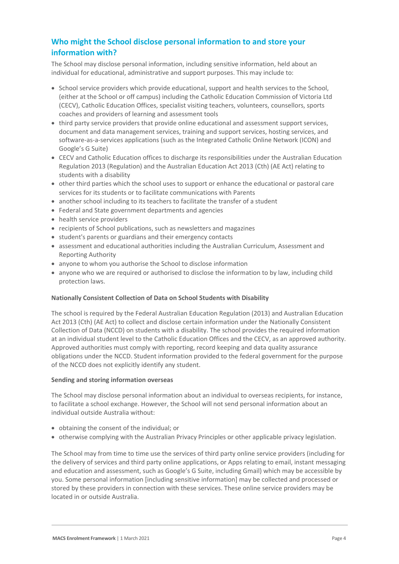# **Who might the School disclose personal information to and store your information with?**

The School may disclose personal information, including sensitive information, held about an individual for educational, administrative and support purposes. This may include to:

- School service providers which provide educational, support and health services to the School, (either at the School or off campus) including the Catholic Education Commission of Victoria Ltd (CECV), Catholic Education Offices, specialist visiting teachers, volunteers, counsellors, sports coaches and providers of learning and assessment tools
- third party service providers that provide online educational and assessment support services, document and data management services, training and support services, hosting services, and software-as-a-services applications (such as the Integrated Catholic Online Network (ICON) and Google's G Suite)
- CECV and Catholic Education offices to discharge its responsibilities under the Australian Education Regulation 2013 (Regulation) and the Australian Education Act 2013 (Cth) (AE Act) relating to students with a disability
- other third parties which the school uses to support or enhance the educational or pastoral care services for its students or to facilitate communications with Parents
- another school including to its teachers to facilitate the transfer of a student
- Federal and State government departments and agencies
- health service providers
- recipients of School publications, such as newsletters and magazines
- student's parents or guardians and their emergency contacts
- assessment and educational authorities including the Australian Curriculum, Assessment and Reporting Authority
- anyone to whom you authorise the School to disclose information
- anyone who we are required or authorised to disclose the information to by law, including child protection laws.

## **Nationally Consistent Collection of Data on School Students with Disability**

The school is required by the Federal Australian Education Regulation (2013) and Australian Education Act 2013 (Cth) (AE Act) to collect and disclose certain information under the Nationally Consistent Collection of Data (NCCD) on students with a disability. The school provides the required information at an individual student level to the Catholic Education Offices and the CECV, as an approved authority. Approved authorities must comply with reporting, record keeping and data quality assurance obligations under the NCCD. Student information provided to the federal government for the purpose of the NCCD does not explicitly identify any student.

## **Sending and storing information overseas**

The School may disclose personal information about an individual to overseas recipients, for instance, to facilitate a school exchange. However, the School will not send personal information about an individual outside Australia without:

- obtaining the consent of the individual; or
- otherwise complying with the Australian Privacy Principles or other applicable privacy legislation.

The School may from time to time use the services of third party online service providers (including for the delivery of services and third party online applications, or Apps relating to email, instant messaging and education and assessment, such as Google's G Suite, including Gmail) which may be accessible by you. Some personal information [including sensitive information] may be collected and processed or stored by these providers in connection with these services. These online service providers may be located in or outside Australia.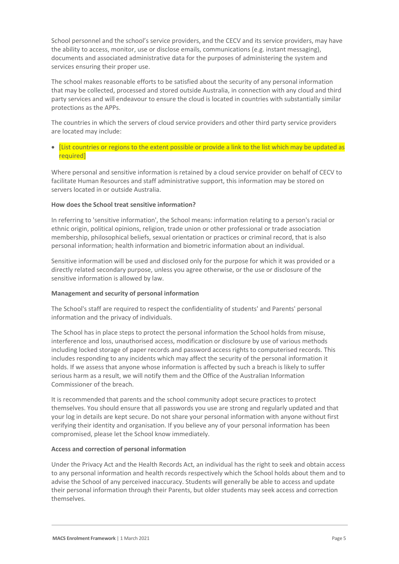School personnel and the school's service providers, and the CECV and its service providers, may have the ability to access, monitor, use or disclose emails, communications (e.g. instant messaging), documents and associated administrative data for the purposes of administering the system and services ensuring their proper use.

The school makes reasonable efforts to be satisfied about the security of any personal information that may be collected, processed and stored outside Australia, in connection with any cloud and third party services and will endeavour to ensure the cloud is located in countries with substantially similar protections as the APPs.

The countries in which the servers of cloud service providers and other third party service providers are located may include:

 [List countries or regions to the extent possible or provide a link to the list which may be updated as required]

Where personal and sensitive information is retained by a cloud service provider on behalf of CECV to facilitate Human Resources and staff administrative support, this information may be stored on servers located in or outside Australia.

# **How does the School treat sensitive information?**

In referring to 'sensitive information', the School means: information relating to a person's racial or ethnic origin, political opinions, religion, trade union or other professional or trade association membership, philosophical beliefs, sexual orientation or practices or criminal record, that is also personal information; health information and biometric information about an individual.

Sensitive information will be used and disclosed only for the purpose for which it was provided or a directly related secondary purpose, unless you agree otherwise, or the use or disclosure of the sensitive information is allowed by law.

#### **Management and security of personal information**

The School's staff are required to respect the confidentiality of students' and Parents' personal information and the privacy of individuals.

The School has in place steps to protect the personal information the School holds from misuse, interference and loss, unauthorised access, modification or disclosure by use of various methods including locked storage of paper records and password access rights to computerised records. This includes responding to any incidents which may affect the security of the personal information it holds. If we assess that anyone whose information is affected by such a breach is likely to suffer serious harm as a result, we will notify them and the Office of the Australian Information Commissioner of the breach.

It is recommended that parents and the school community adopt secure practices to protect themselves. You should ensure that all passwords you use are strong and regularly updated and that your log in details are kept secure. Do not share your personal information with anyone without first verifying their identity and organisation. If you believe any of your personal information has been compromised, please let the School know immediately.

#### **Access and correction of personal information**

Under the Privacy Act and the Health Records Act, an individual has the right to seek and obtain access to any personal information and health records respectively which the School holds about them and to advise the School of any perceived inaccuracy. Students will generally be able to access and update their personal information through their Parents, but older students may seek access and correction themselves.